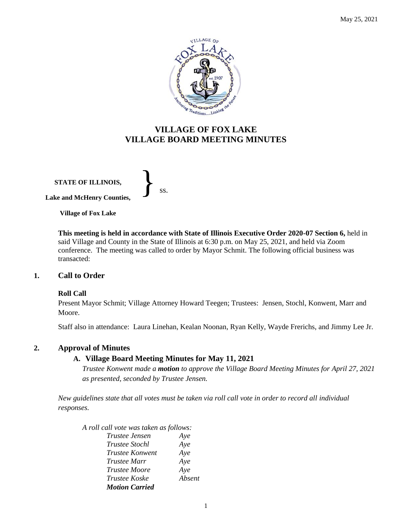

# **VILLAGE OF FOX LAKE VILLAGE BOARD MEETING MINUTES**

**STATE OF ILLINOIS, Lake and McHenry Counties,**  }<br>*ss.* 

**Village of Fox Lake**

**This meeting is held in accordance with State of Illinois Executive Order 2020-07 Section 6,** held in said Village and County in the State of Illinois at 6:30 p.m. on May 25, 2021, and held via Zoom conference. The meeting was called to order by Mayor Schmit. The following official business was transacted:

#### **1. Call to Order**

#### **Roll Call**

Present Mayor Schmit; Village Attorney Howard Teegen; Trustees: Jensen, Stochl, Konwent, Marr and Moore.

Staff also in attendance: Laura Linehan, Kealan Noonan, Ryan Kelly, Wayde Frerichs, and Jimmy Lee Jr.

#### **2. Approval of Minutes**

## **A. Village Board Meeting Minutes for May 11, 2021**

*Trustee Konwent made a motion to approve the Village Board Meeting Minutes for April 27, 2021 as presented, seconded by Trustee Jensen.* 

*New guidelines state that all votes must be taken via roll call vote in order to record all individual responses.* 

*A roll call vote was taken as follows:* 

| <i>Trustee Jensen</i>  | Aye    |
|------------------------|--------|
| <i>Trustee Stochl</i>  | Aye    |
| <i>Trustee Konwent</i> | Aye    |
| <i>Trustee Marr</i>    | Aye    |
| <i>Trustee Moore</i>   | Aye    |
| <i>Trustee Koske</i>   | Absent |
| <b>Motion Carried</b>  |        |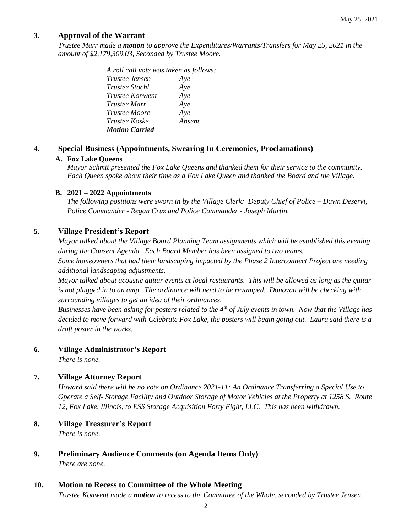## **3. Approval of the Warrant**

*Trustee Marr made a motion to approve the Expenditures/Warrants/Transfers for May 25, 2021 in the amount of \$2,179,309.03, Seconded by Trustee Moore.*

> *A roll call vote was taken as follows: Trustee Jensen Aye Trustee Stochl Aye Trustee Konwent Aye Trustee Marr Aye Trustee Moore Aye Trustee Koske Absent Motion Carried*

### **4. Special Business (Appointments, Swearing In Ceremonies, Proclamations)**

#### **A. Fox Lake Queens**

*Mayor Schmit presented the Fox Lake Queens and thanked them for their service to the community. Each Queen spoke about their time as a Fox Lake Queen and thanked the Board and the Village.*

#### **B. 2021 – 2022 Appointments**

*The following positions were sworn in by the Village Clerk: Deputy Chief of Police – Dawn Deservi, Police Commander - Regan Cruz and Police Commander - Joseph Martin.*

## **5. Village President's Report**

*Mayor talked about the Village Board Planning Team assignments which will be established this evening during the Consent Agenda. Each Board Member has been assigned to two teams. Some homeowners that had their landscaping impacted by the Phase 2 Interconnect Project are needing additional landscaping adjustments.* 

*Mayor talked about acoustic guitar events at local restaurants. This will be allowed as long as the guitar is not plugged in to an amp. The ordinance will need to be revamped. Donovan will be checking with surrounding villages to get an idea of their ordinances.* 

*Businesses have been asking for posters related to the 4th of July events in town. Now that the Village has decided to move forward with Celebrate Fox Lake, the posters will begin going out. Laura said there is a draft poster in the works.* 

#### **6. Village Administrator's Report**

*There is none.*

## **7. Village Attorney Report**

*Howard said there will be no vote on Ordinance 2021-11: An Ordinance Transferring a Special Use to Operate a Self- Storage Facility and Outdoor Storage of Motor Vehicles at the Property at 1258 S. Route 12, Fox Lake, Illinois, to ESS Storage Acquisition Forty Eight, LLC. This has been withdrawn.*

#### **8. Village Treasurer's Report**

*There is none.*

**9. Preliminary Audience Comments (on Agenda Items Only)** *There are none.* 

## **10. Motion to Recess to Committee of the Whole Meeting**

*Trustee Konwent made a motion to recess to the Committee of the Whole, seconded by Trustee Jensen.*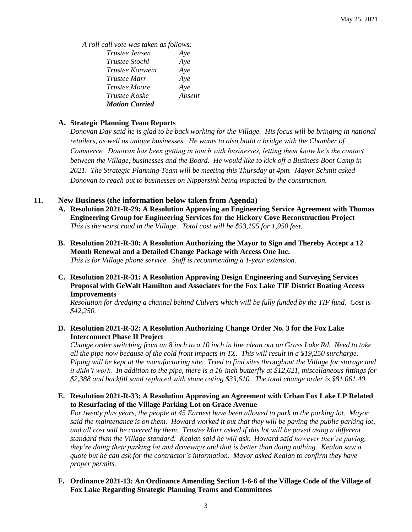*A roll call vote was taken as follows:* 

| <i>Trustee Jensen</i>  | Aye    |
|------------------------|--------|
| <i>Trustee Stochl</i>  | Aye    |
| <i>Trustee Konwent</i> | Aye    |
| Trustee Marr           | Aye    |
| <b>Trustee Moore</b>   | Aye    |
| <i>Trustee Koske</i>   | Absent |
| <b>Motion Carried</b>  |        |

#### **A. Strategic Planning Team Reports**

*Donovan Day said he is glad to be back working for the Village. His focus will be bringing in national retailers, as well as unique businesses. He wants to also build a bridge with the Chamber of Commerce. Donovan has been getting in touch with businesses, letting them know he's the contact between the Village, businesses and the Board. He would like to kick off a Business Boot Camp in 2021. The Strategic Planning Team will be meeting this Thursday at 4pm. Mayor Schmit asked Donovan to reach out to businesses on Nippersink being impacted by the construction.* 

## **11. New Business (the information below taken from Agenda)**

- **A. Resolution 2021-R-29: A Resolution Approving an Engineering Service Agreement with Thomas Engineering Group for Engineering Services for the Hickory Cove Reconstruction Project** *This is the worst road in the Village. Total cost will be \$53,195 for 1,950 feet.*
- **B. Resolution 2021-R-30: A Resolution Authorizing the Mayor to Sign and Thereby Accept a 12 Month Renewal and a Detailed Change Package with Access One Inc.** *This is for Village phone service. Staff is recommending a 1-year extension.*
- **C. Resolution 2021-R-31: A Resolution Approving Design Engineering and Surveying Services Proposal with GeWalt Hamilton and Associates for the Fox Lake TIF District Boating Access Improvements**

*Resolution for dredging a channel behind Culvers which will be fully funded by the TIF fund. Cost is \$42,250.*

### **D. Resolution 2021-R-32: A Resolution Authorizing Change Order No. 3 for the Fox Lake Interconnect Phase II Project**

*Change order switching from an 8 inch to a 10 inch in line clean out on Grass Lake Rd. Need to take all the pipe now because of the cold front impacts in TX. This will result in a \$19,250 surcharge. Piping will be kept at the manufacturing site. Tried to find sites throughout the Village for storage and it didn't work. In addition to the pipe, there is a 16-inch butterfly at \$12,621, miscellaneous fittings for \$2,388 and backfill sand replaced with stone coting \$33,610. The total change order is \$81,061.40.*

### **E. Resolution 2021-R-33: A Resolution Approving an Agreement with Urban Fox Lake LP Related to Resurfacing of the Village Parking Lot on Grace Avenue**

*For twenty plus years, the people at 45 Earnest have been allowed to park in the parking lot. Mayor said the maintenance is on them. Howard worked it out that they will be paving the public parking lot, and all cost will be covered by them. Trustee Marr asked if this lot will be paved using a different standard than the Village standard. Kealan said he will ask. Howard said however they're paving, they're doing their parking lot and driveways and that is better than doing nothing. Kealan saw a quote but he can ask for the contractor's information. Mayor asked Kealan to confirm they have proper permits.*

### **F. Ordinance 2021-13: An Ordinance Amending Section 1-6-6 of the Village Code of the Village of Fox Lake Regarding Strategic Planning Teams and Committees**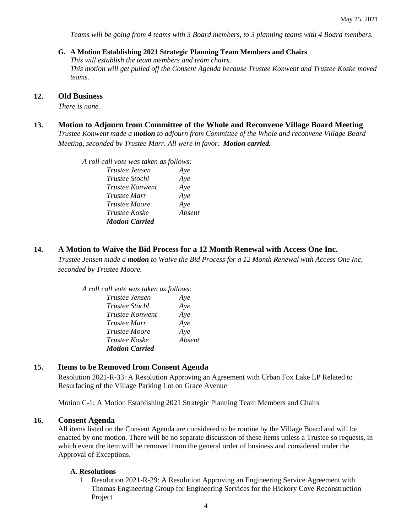*Teams will be going from 4 teams with 3 Board members, to 3 planning teams with 4 Board members.* 

#### **G. A Motion Establishing 2021 Strategic Planning Team Members and Chairs**

*This will establish the team members and team chairs. This motion will get pulled off the Consent Agenda because Trustee Konwent and Trustee Koske moved teams.* 

#### **12. Old Business**

*There is none.* 

#### **13. Motion to Adjourn from Committee of the Whole and Reconvene Village Board Meeting** *Trustee Konwent made a motion to adjourn from Committee of the Whole and reconvene Village Board*

*Meeting, seconded by Trustee Marr. All were in favor. Motion carried.* 

*A roll call vote was taken as follows:* 

| <i>Trustee Jensen</i> | Aye    |
|-----------------------|--------|
| <i>Trustee Stochl</i> | Aye    |
| Trustee Konwent       | Aye    |
| <i>Trustee Marr</i>   | Aye    |
| Trustee Moore         | Aye    |
| Trustee Koske         | Absent |
| <b>Motion Carried</b> |        |

### **14. A Motion to Waive the Bid Process for a 12 Month Renewal with Access One Inc.**

*Trustee Jensen made a motion to Waive the Bid Process for a 12 Month Renewal with Access One Inc, seconded by Trustee Moore.*

| A roll call vote was taken as follows: |        |
|----------------------------------------|--------|
| Trustee Jensen                         | Ave    |
| <i>Trustee Stochl</i>                  | Aye    |
| Trustee Konwent                        | Aye    |
| <i>Trustee Marr</i>                    | Aye    |
| <b>Trustee Moore</b>                   | Aye    |
| Trustee Koske                          | Absent |
| <b>Motion Carried</b>                  |        |

### **15. Items to be Removed from Consent Agenda**

Resolution 2021-R-33: A Resolution Approving an Agreement with Urban Fox Lake LP Related to Resurfacing of the Village Parking Lot on Grace Avenue

Motion C-1: A Motion Establishing 2021 Strategic Planning Team Members and Chairs

#### **16. Consent Agenda**

All items listed on the Consent Agenda are considered to be routine by the Village Board and will be enacted by one motion. There will be no separate discussion of these items unless a Trustee so requests, in which event the item will be removed from the general order of business and considered under the Approval of Exceptions.

#### **A. Resolutions**

1. Resolution 2021-R-29: A Resolution Approving an Engineering Service Agreement with Thomas Engineering Group for Engineering Services for the Hickory Cove Reconstruction Project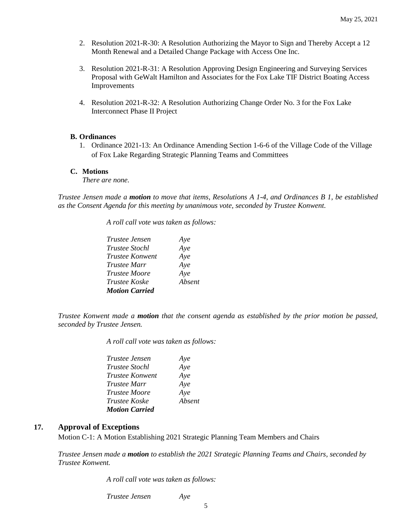- 2. Resolution 2021-R-30: A Resolution Authorizing the Mayor to Sign and Thereby Accept a 12 Month Renewal and a Detailed Change Package with Access One Inc.
- 3. Resolution 2021-R-31: A Resolution Approving Design Engineering and Surveying Services Proposal with GeWalt Hamilton and Associates for the Fox Lake TIF District Boating Access Improvements
- 4. Resolution 2021-R-32: A Resolution Authorizing Change Order No. 3 for the Fox Lake Interconnect Phase II Project

#### **B. Ordinances**

1. Ordinance 2021-13: An Ordinance Amending Section 1-6-6 of the Village Code of the Village of Fox Lake Regarding Strategic Planning Teams and Committees

#### **C. Motions**

*There are none.* 

*Trustee Jensen made a motion to move that items, Resolutions A 1-4, and Ordinances B 1, be established as the Consent Agenda for this meeting by unanimous vote, seconded by Trustee Konwent.*

*A roll call vote was taken as follows:* 

| Trustee Jensen        | Aye    |
|-----------------------|--------|
| <i>Trustee Stochl</i> | Aye    |
| Trustee Konwent       | Aye    |
| <i>Trustee Marr</i>   | Aye    |
| <b>Trustee Moore</b>  | Aye    |
| Trustee Koske         | Absent |
| <b>Motion Carried</b> |        |

*Trustee Konwent made a motion that the consent agenda as established by the prior motion be passed, seconded by Trustee Jensen.*

*A roll call vote was taken as follows:* 

| <i>Trustee Jensen</i> | Aye    |
|-----------------------|--------|
| Trustee Stochl        | Aye    |
| Trustee Konwent       | Aye    |
| <i>Trustee Marr</i>   | Aye    |
| <i>Trustee Moore</i>  | Aye    |
| <i>Trustee Koske</i>  | Absent |
| <b>Motion Carried</b> |        |

#### **17. Approval of Exceptions**

Motion C-1: A Motion Establishing 2021 Strategic Planning Team Members and Chairs

*Trustee Jensen made a motion to establish the 2021 Strategic Planning Teams and Chairs, seconded by Trustee Konwent.*

*A roll call vote was taken as follows:* 

*Trustee Jensen Aye*